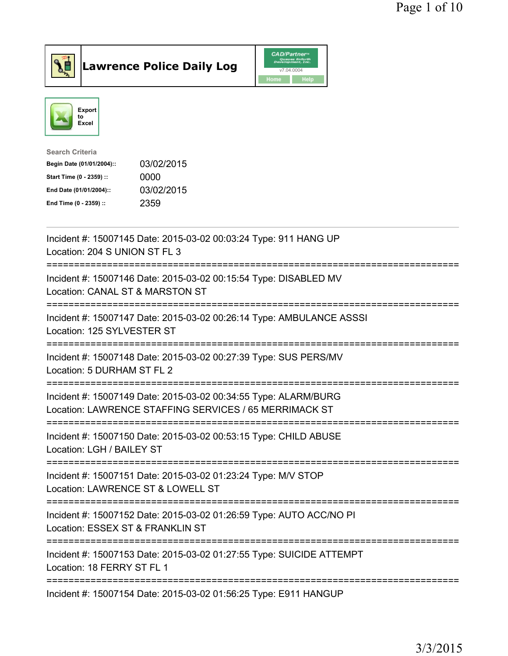



| <b>Search Criteria</b>    |            |
|---------------------------|------------|
| Begin Date (01/01/2004):: | 03/02/2015 |
| Start Time (0 - 2359) ::  | 0000       |
| End Date (01/01/2004)::   | 03/02/2015 |
| End Time (0 - 2359) ::    | 2359       |
|                           |            |

| Incident #: 15007145 Date: 2015-03-02 00:03:24 Type: 911 HANG UP<br>Location: 204 S UNION ST FL 3<br>-----------                                              |
|---------------------------------------------------------------------------------------------------------------------------------------------------------------|
| Incident #: 15007146 Date: 2015-03-02 00:15:54 Type: DISABLED MV<br>Location: CANAL ST & MARSTON ST<br>---------------<br>==================                  |
| Incident #: 15007147 Date: 2015-03-02 00:26:14 Type: AMBULANCE ASSSI<br>Location: 125 SYLVESTER ST<br>------------------                                      |
| Incident #: 15007148 Date: 2015-03-02 00:27:39 Type: SUS PERS/MV<br>Location: 5 DURHAM ST FL 2                                                                |
| Incident #: 15007149 Date: 2015-03-02 00:34:55 Type: ALARM/BURG<br>Location: LAWRENCE STAFFING SERVICES / 65 MERRIMACK ST<br>================================ |
| Incident #: 15007150 Date: 2015-03-02 00:53:15 Type: CHILD ABUSE<br>Location: LGH / BAILEY ST                                                                 |
| Incident #: 15007151 Date: 2015-03-02 01:23:24 Type: M/V STOP<br>Location: LAWRENCE ST & LOWELL ST<br>==============================                          |
| Incident #: 15007152 Date: 2015-03-02 01:26:59 Type: AUTO ACC/NO PI<br>Location: ESSEX ST & FRANKLIN ST                                                       |
| Incident #: 15007153 Date: 2015-03-02 01:27:55 Type: SUICIDE ATTEMPT<br>Location: 18 FERRY ST FL 1                                                            |
| Incident #: 15007154 Date: 2015-03-02 01:56:25 Type: E911 HANGUP                                                                                              |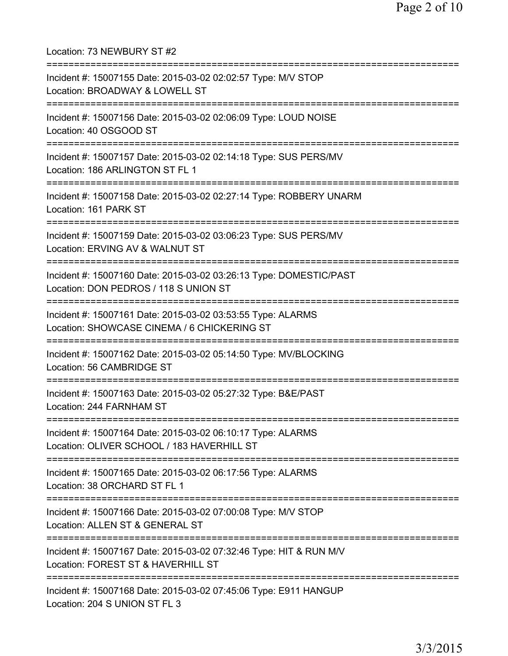Location: 73 NEWBURY ST #2 =========================================================================== Incident #: 15007155 Date: 2015-03-02 02:02:57 Type: M/V STOP Location: BROADWAY & LOWELL ST =========================================================================== Incident #: 15007156 Date: 2015-03-02 02:06:09 Type: LOUD NOISE Location: 40 OSGOOD ST =========================================================================== Incident #: 15007157 Date: 2015-03-02 02:14:18 Type: SUS PERS/MV Location: 186 ARLINGTON ST FL 1 =========================================================================== Incident #: 15007158 Date: 2015-03-02 02:27:14 Type: ROBBERY UNARM Location: 161 PARK ST =========================================================================== Incident #: 15007159 Date: 2015-03-02 03:06:23 Type: SUS PERS/MV Location: ERVING AV & WALNUT ST =========================================================================== Incident #: 15007160 Date: 2015-03-02 03:26:13 Type: DOMESTIC/PAST Location: DON PEDROS / 118 S UNION ST =========================================================================== Incident #: 15007161 Date: 2015-03-02 03:53:55 Type: ALARMS Location: SHOWCASE CINEMA / 6 CHICKERING ST =========================================================================== Incident #: 15007162 Date: 2015-03-02 05:14:50 Type: MV/BLOCKING Location: 56 CAMBRIDGE ST =========================================================================== Incident #: 15007163 Date: 2015-03-02 05:27:32 Type: B&E/PAST Location: 244 FARNHAM ST =========================================================================== Incident #: 15007164 Date: 2015-03-02 06:10:17 Type: ALARMS Location: OLIVER SCHOOL / 183 HAVERHILL ST =========================================================================== Incident #: 15007165 Date: 2015-03-02 06:17:56 Type: ALARMS Location: 38 ORCHARD ST FL 1 =========================================================================== Incident #: 15007166 Date: 2015-03-02 07:00:08 Type: M/V STOP Location: ALLEN ST & GENERAL ST =========================================================================== Incident #: 15007167 Date: 2015-03-02 07:32:46 Type: HIT & RUN M/V Location: FOREST ST & HAVERHILL ST =========================================================================== Incident #: 15007168 Date: 2015-03-02 07:45:06 Type: E911 HANGUP Location: 204 S UNION ST FL 3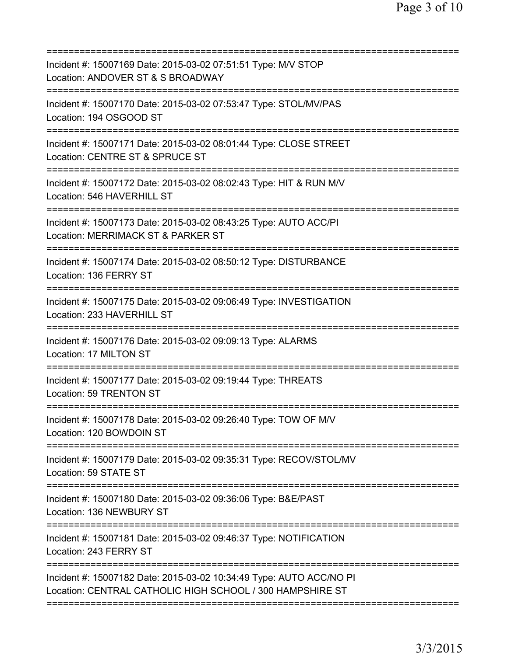| Incident #: 15007169 Date: 2015-03-02 07:51:51 Type: M/V STOP<br>Location: ANDOVER ST & S BROADWAY                               |
|----------------------------------------------------------------------------------------------------------------------------------|
| Incident #: 15007170 Date: 2015-03-02 07:53:47 Type: STOL/MV/PAS<br>Location: 194 OSGOOD ST                                      |
| Incident #: 15007171 Date: 2015-03-02 08:01:44 Type: CLOSE STREET<br>Location: CENTRE ST & SPRUCE ST                             |
| Incident #: 15007172 Date: 2015-03-02 08:02:43 Type: HIT & RUN M/V<br>Location: 546 HAVERHILL ST                                 |
| Incident #: 15007173 Date: 2015-03-02 08:43:25 Type: AUTO ACC/PI<br>Location: MERRIMACK ST & PARKER ST                           |
| Incident #: 15007174 Date: 2015-03-02 08:50:12 Type: DISTURBANCE<br>Location: 136 FERRY ST                                       |
| Incident #: 15007175 Date: 2015-03-02 09:06:49 Type: INVESTIGATION<br>Location: 233 HAVERHILL ST                                 |
| Incident #: 15007176 Date: 2015-03-02 09:09:13 Type: ALARMS<br>Location: 17 MILTON ST<br>;===================================    |
| Incident #: 15007177 Date: 2015-03-02 09:19:44 Type: THREATS<br>Location: 59 TRENTON ST                                          |
| Incident #: 15007178 Date: 2015-03-02 09:26:40 Type: TOW OF M/V<br>Location: 120 BOWDOIN ST                                      |
| Incident #: 15007179 Date: 2015-03-02 09:35:31 Type: RECOV/STOL/MV<br>Location: 59 STATE ST                                      |
| Incident #: 15007180 Date: 2015-03-02 09:36:06 Type: B&E/PAST<br>Location: 136 NEWBURY ST                                        |
| Incident #: 15007181 Date: 2015-03-02 09:46:37 Type: NOTIFICATION<br>Location: 243 FERRY ST                                      |
| Incident #: 15007182 Date: 2015-03-02 10:34:49 Type: AUTO ACC/NO PI<br>Location: CENTRAL CATHOLIC HIGH SCHOOL / 300 HAMPSHIRE ST |
|                                                                                                                                  |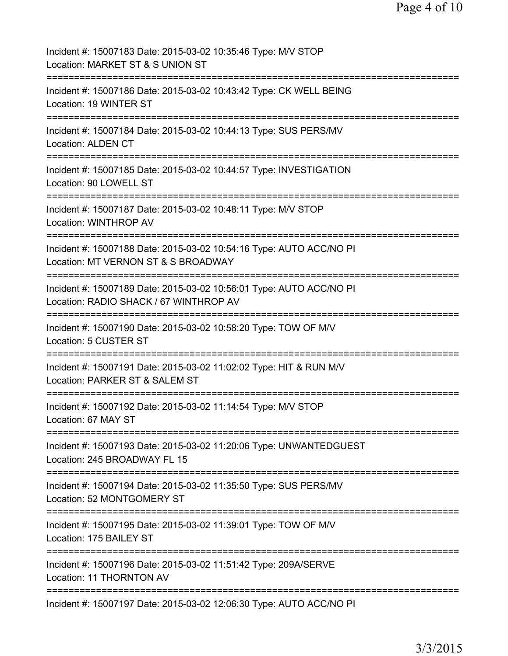| Incident #: 15007183 Date: 2015-03-02 10:35:46 Type: M/V STOP<br>Location: MARKET ST & S UNION ST                     |
|-----------------------------------------------------------------------------------------------------------------------|
| Incident #: 15007186 Date: 2015-03-02 10:43:42 Type: CK WELL BEING<br>Location: 19 WINTER ST                          |
| Incident #: 15007184 Date: 2015-03-02 10:44:13 Type: SUS PERS/MV<br><b>Location: ALDEN CT</b>                         |
| Incident #: 15007185 Date: 2015-03-02 10:44:57 Type: INVESTIGATION<br>Location: 90 LOWELL ST                          |
| Incident #: 15007187 Date: 2015-03-02 10:48:11 Type: M/V STOP<br><b>Location: WINTHROP AV</b>                         |
| Incident #: 15007188 Date: 2015-03-02 10:54:16 Type: AUTO ACC/NO PI<br>Location: MT VERNON ST & S BROADWAY            |
| Incident #: 15007189 Date: 2015-03-02 10:56:01 Type: AUTO ACC/NO PI<br>Location: RADIO SHACK / 67 WINTHROP AV         |
| Incident #: 15007190 Date: 2015-03-02 10:58:20 Type: TOW OF M/V<br>Location: 5 CUSTER ST                              |
| Incident #: 15007191 Date: 2015-03-02 11:02:02 Type: HIT & RUN M/V<br>Location: PARKER ST & SALEM ST<br>------------- |
| Incident #: 15007192 Date: 2015-03-02 11:14:54 Type: M/V STOP<br>Location: 67 MAY ST                                  |
| Incident #: 15007193 Date: 2015-03-02 11:20:06 Type: UNWANTEDGUEST<br>Location: 245 BROADWAY FL 15                    |
| Incident #: 15007194 Date: 2015-03-02 11:35:50 Type: SUS PERS/MV<br>Location: 52 MONTGOMERY ST                        |
| Incident #: 15007195 Date: 2015-03-02 11:39:01 Type: TOW OF M/V<br>Location: 175 BAILEY ST                            |
| Incident #: 15007196 Date: 2015-03-02 11:51:42 Type: 209A/SERVE<br>Location: 11 THORNTON AV                           |
| Incident #: 15007197 Date: 2015-03-02 12:06:30 Type: AUTO ACC/NO PI                                                   |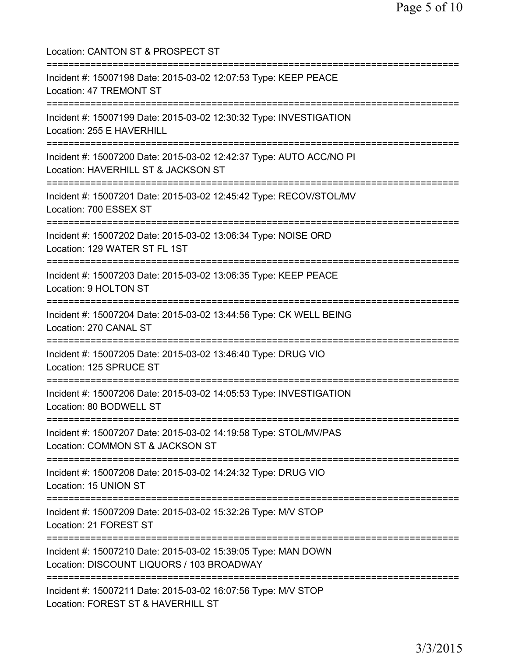Location: CANTON ST & PROSPECT ST =========================================================================== Incident #: 15007198 Date: 2015-03-02 12:07:53 Type: KEEP PEACE Location: 47 TREMONT ST =========================================================================== Incident #: 15007199 Date: 2015-03-02 12:30:32 Type: INVESTIGATION Location: 255 E HAVERHILL =========================================================================== Incident #: 15007200 Date: 2015-03-02 12:42:37 Type: AUTO ACC/NO PI Location: HAVERHILL ST & JACKSON ST =========================================================================== Incident #: 15007201 Date: 2015-03-02 12:45:42 Type: RECOV/STOL/MV Location: 700 ESSEX ST =========================================================================== Incident #: 15007202 Date: 2015-03-02 13:06:34 Type: NOISE ORD Location: 129 WATER ST FL 1ST =========================================================================== Incident #: 15007203 Date: 2015-03-02 13:06:35 Type: KEEP PEACE Location: 9 HOLTON ST =========================================================================== Incident #: 15007204 Date: 2015-03-02 13:44:56 Type: CK WELL BEING Location: 270 CANAL ST =========================================================================== Incident #: 15007205 Date: 2015-03-02 13:46:40 Type: DRUG VIO Location: 125 SPRUCE ST =========================================================================== Incident #: 15007206 Date: 2015-03-02 14:05:53 Type: INVESTIGATION Location: 80 BODWELL ST =========================================================================== Incident #: 15007207 Date: 2015-03-02 14:19:58 Type: STOL/MV/PAS Location: COMMON ST & JACKSON ST =========================================================================== Incident #: 15007208 Date: 2015-03-02 14:24:32 Type: DRUG VIO Location: 15 UNION ST =========================================================================== Incident #: 15007209 Date: 2015-03-02 15:32:26 Type: M/V STOP Location: 21 FOREST ST =========================================================================== Incident #: 15007210 Date: 2015-03-02 15:39:05 Type: MAN DOWN Location: DISCOUNT LIQUORS / 103 BROADWAY =========================================================================== Incident #: 15007211 Date: 2015-03-02 16:07:56 Type: M/V STOP Location: FOREST ST & HAVERHILL ST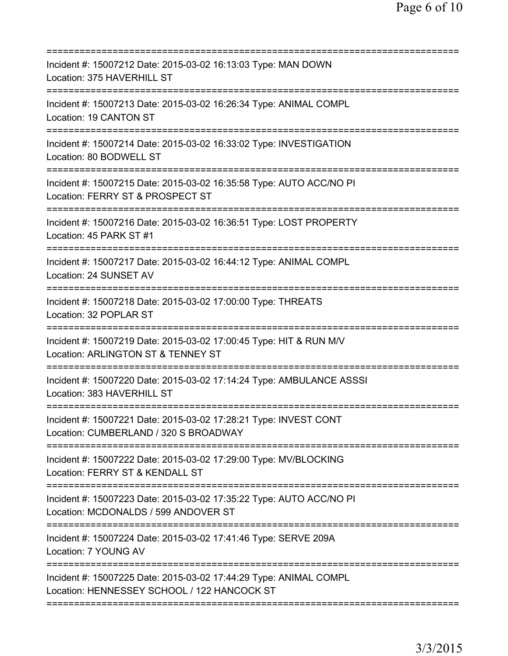| Incident #: 15007212 Date: 2015-03-02 16:13:03 Type: MAN DOWN<br>Location: 375 HAVERHILL ST<br>===================                        |
|-------------------------------------------------------------------------------------------------------------------------------------------|
| Incident #: 15007213 Date: 2015-03-02 16:26:34 Type: ANIMAL COMPL<br>Location: 19 CANTON ST                                               |
| Incident #: 15007214 Date: 2015-03-02 16:33:02 Type: INVESTIGATION<br>Location: 80 BODWELL ST                                             |
| Incident #: 15007215 Date: 2015-03-02 16:35:58 Type: AUTO ACC/NO PI<br>Location: FERRY ST & PROSPECT ST                                   |
| Incident #: 15007216 Date: 2015-03-02 16:36:51 Type: LOST PROPERTY<br>Location: 45 PARK ST #1                                             |
| Incident #: 15007217 Date: 2015-03-02 16:44:12 Type: ANIMAL COMPL<br>Location: 24 SUNSET AV                                               |
| Incident #: 15007218 Date: 2015-03-02 17:00:00 Type: THREATS<br>Location: 32 POPLAR ST                                                    |
| Incident #: 15007219 Date: 2015-03-02 17:00:45 Type: HIT & RUN M/V<br>Location: ARLINGTON ST & TENNEY ST<br>============================= |
| Incident #: 15007220 Date: 2015-03-02 17:14:24 Type: AMBULANCE ASSSI<br>Location: 383 HAVERHILL ST                                        |
| Incident #: 15007221 Date: 2015-03-02 17:28:21 Type: INVEST CONT<br>Location: CUMBERLAND / 320 S BROADWAY                                 |
| Incident #: 15007222 Date: 2015-03-02 17:29:00 Type: MV/BLOCKING<br>Location: FERRY ST & KENDALL ST                                       |
| Incident #: 15007223 Date: 2015-03-02 17:35:22 Type: AUTO ACC/NO PI<br>Location: MCDONALDS / 599 ANDOVER ST                               |
| Incident #: 15007224 Date: 2015-03-02 17:41:46 Type: SERVE 209A<br>Location: 7 YOUNG AV                                                   |
| Incident #: 15007225 Date: 2015-03-02 17:44:29 Type: ANIMAL COMPL<br>Location: HENNESSEY SCHOOL / 122 HANCOCK ST                          |
|                                                                                                                                           |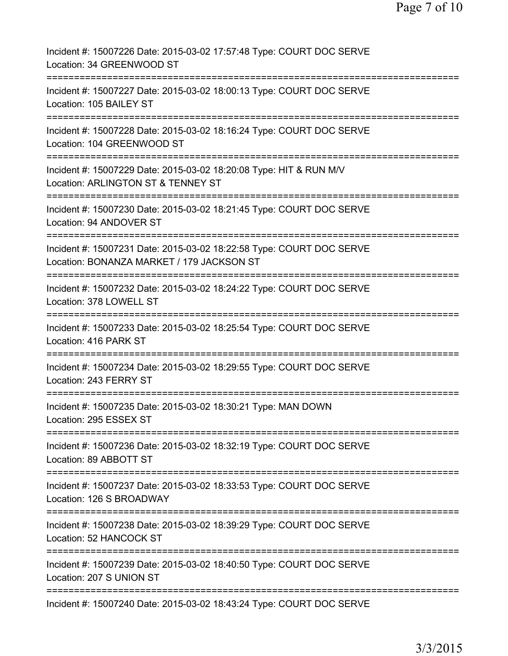| Incident #: 15007226 Date: 2015-03-02 17:57:48 Type: COURT DOC SERVE<br>Location: 34 GREENWOOD ST                 |
|-------------------------------------------------------------------------------------------------------------------|
| Incident #: 15007227 Date: 2015-03-02 18:00:13 Type: COURT DOC SERVE<br>Location: 105 BAILEY ST                   |
| Incident #: 15007228 Date: 2015-03-02 18:16:24 Type: COURT DOC SERVE<br>Location: 104 GREENWOOD ST                |
| Incident #: 15007229 Date: 2015-03-02 18:20:08 Type: HIT & RUN M/V<br>Location: ARLINGTON ST & TENNEY ST          |
| Incident #: 15007230 Date: 2015-03-02 18:21:45 Type: COURT DOC SERVE<br>Location: 94 ANDOVER ST                   |
| Incident #: 15007231 Date: 2015-03-02 18:22:58 Type: COURT DOC SERVE<br>Location: BONANZA MARKET / 179 JACKSON ST |
| Incident #: 15007232 Date: 2015-03-02 18:24:22 Type: COURT DOC SERVE<br>Location: 378 LOWELL ST                   |
| Incident #: 15007233 Date: 2015-03-02 18:25:54 Type: COURT DOC SERVE<br>Location: 416 PARK ST                     |
| Incident #: 15007234 Date: 2015-03-02 18:29:55 Type: COURT DOC SERVE<br>Location: 243 FERRY ST                    |
| Incident #: 15007235 Date: 2015-03-02 18:30:21 Type: MAN DOWN<br>Location: 295 ESSEX ST                           |
| Incident #: 15007236 Date: 2015-03-02 18:32:19 Type: COURT DOC SERVE<br>Location: 89 ABBOTT ST                    |
| Incident #: 15007237 Date: 2015-03-02 18:33:53 Type: COURT DOC SERVE<br>Location: 126 S BROADWAY                  |
| Incident #: 15007238 Date: 2015-03-02 18:39:29 Type: COURT DOC SERVE<br>Location: 52 HANCOCK ST                   |
| Incident #: 15007239 Date: 2015-03-02 18:40:50 Type: COURT DOC SERVE<br>Location: 207 S UNION ST                  |
| Incident #: 15007240 Date: 2015-03-02 18:43:24 Type: COURT DOC SERVE                                              |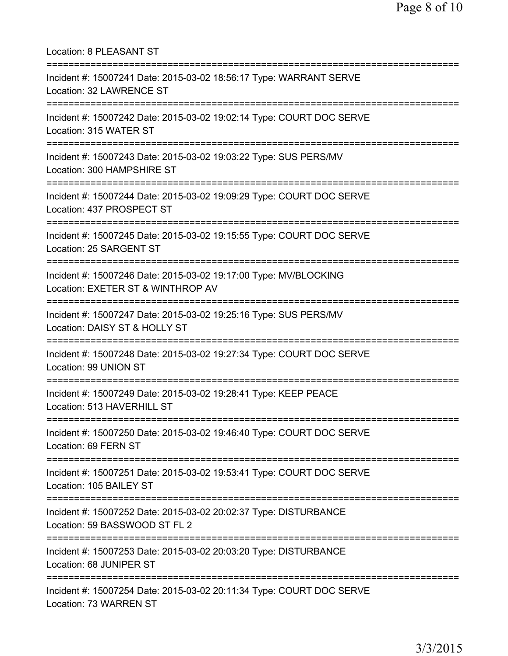| Location: 8 PLEASANT ST                                                                                                              |
|--------------------------------------------------------------------------------------------------------------------------------------|
| Incident #: 15007241 Date: 2015-03-02 18:56:17 Type: WARRANT SERVE<br>Location: 32 LAWRENCE ST                                       |
| Incident #: 15007242 Date: 2015-03-02 19:02:14 Type: COURT DOC SERVE<br>Location: 315 WATER ST                                       |
| Incident #: 15007243 Date: 2015-03-02 19:03:22 Type: SUS PERS/MV<br>Location: 300 HAMPSHIRE ST                                       |
| Incident #: 15007244 Date: 2015-03-02 19:09:29 Type: COURT DOC SERVE<br>Location: 437 PROSPECT ST                                    |
| Incident #: 15007245 Date: 2015-03-02 19:15:55 Type: COURT DOC SERVE<br>Location: 25 SARGENT ST<br>================================= |
| Incident #: 15007246 Date: 2015-03-02 19:17:00 Type: MV/BLOCKING<br>Location: EXETER ST & WINTHROP AV                                |
| Incident #: 15007247 Date: 2015-03-02 19:25:16 Type: SUS PERS/MV<br>Location: DAISY ST & HOLLY ST                                    |
| Incident #: 15007248 Date: 2015-03-02 19:27:34 Type: COURT DOC SERVE<br>Location: 99 UNION ST                                        |
| Incident #: 15007249 Date: 2015-03-02 19:28:41 Type: KEEP PEACE<br>Location: 513 HAVERHILL ST                                        |
| Incident #: 15007250 Date: 2015-03-02 19:46:40 Type: COURT DOC SERVE<br>Location: 69 FERN ST                                         |
| Incident #: 15007251 Date: 2015-03-02 19:53:41 Type: COURT DOC SERVE<br>Location: 105 BAILEY ST                                      |
| Incident #: 15007252 Date: 2015-03-02 20:02:37 Type: DISTURBANCE<br>Location: 59 BASSWOOD ST FL 2                                    |
| Incident #: 15007253 Date: 2015-03-02 20:03:20 Type: DISTURBANCE<br>Location: 68 JUNIPER ST                                          |
| Incident #: 15007254 Date: 2015-03-02 20:11:34 Type: COURT DOC SERVE<br>Location: 73 WARREN ST                                       |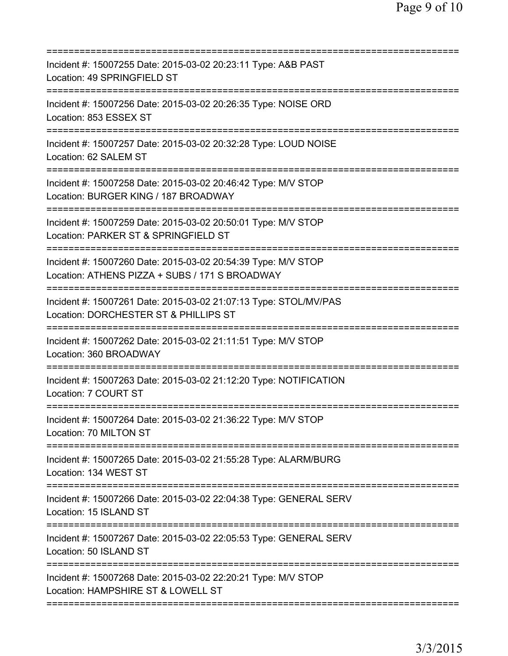| Incident #: 15007255 Date: 2015-03-02 20:23:11 Type: A&B PAST<br>Location: 49 SPRINGFIELD ST                                                  |
|-----------------------------------------------------------------------------------------------------------------------------------------------|
| Incident #: 15007256 Date: 2015-03-02 20:26:35 Type: NOISE ORD<br>Location: 853 ESSEX ST                                                      |
| Incident #: 15007257 Date: 2015-03-02 20:32:28 Type: LOUD NOISE<br>Location: 62 SALEM ST                                                      |
| Incident #: 15007258 Date: 2015-03-02 20:46:42 Type: M/V STOP<br>Location: BURGER KING / 187 BROADWAY                                         |
| Incident #: 15007259 Date: 2015-03-02 20:50:01 Type: M/V STOP<br>Location: PARKER ST & SPRINGFIELD ST                                         |
| ;=========================<br>Incident #: 15007260 Date: 2015-03-02 20:54:39 Type: M/V STOP<br>Location: ATHENS PIZZA + SUBS / 171 S BROADWAY |
| Incident #: 15007261 Date: 2015-03-02 21:07:13 Type: STOL/MV/PAS<br>Location: DORCHESTER ST & PHILLIPS ST                                     |
| Incident #: 15007262 Date: 2015-03-02 21:11:51 Type: M/V STOP<br>Location: 360 BROADWAY                                                       |
| Incident #: 15007263 Date: 2015-03-02 21:12:20 Type: NOTIFICATION<br>Location: 7 COURT ST                                                     |
| Incident #: 15007264 Date: 2015-03-02 21:36:22 Type: M/V STOP<br>Location: 70 MILTON ST                                                       |
| Incident #: 15007265 Date: 2015-03-02 21:55:28 Type: ALARM/BURG<br>Location: 134 WEST ST                                                      |
| Incident #: 15007266 Date: 2015-03-02 22:04:38 Type: GENERAL SERV<br>Location: 15 ISLAND ST                                                   |
| Incident #: 15007267 Date: 2015-03-02 22:05:53 Type: GENERAL SERV<br>Location: 50 ISLAND ST                                                   |
| Incident #: 15007268 Date: 2015-03-02 22:20:21 Type: M/V STOP<br>Location: HAMPSHIRE ST & LOWELL ST                                           |
|                                                                                                                                               |